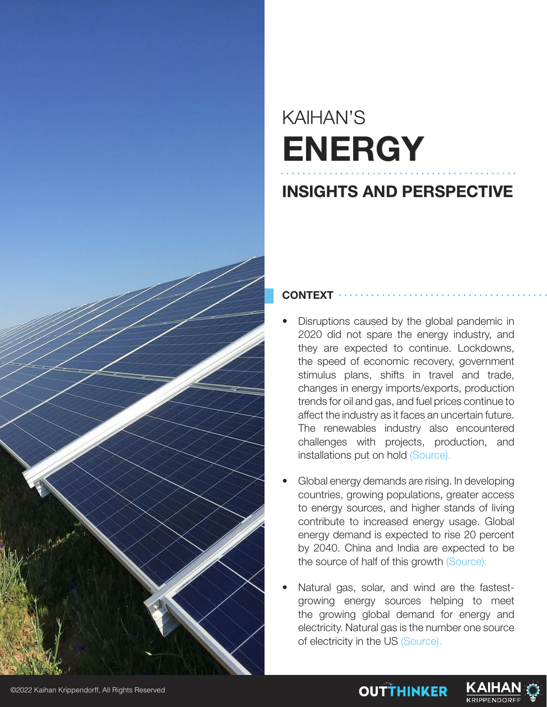

## KAIHAN'S **ENERGY**

### **INSIGHTS AND PERSPECTIVE**

#### **CONTEXT**

- Disruptions caused by the global pandemic in 2020 did not spare the energy industry, and they are expected to continue. Lockdowns, the speed of economic recovery, government stimulus plans, shifts in travel and trade, changes in energy imports/exports, production trends for oil and gas, and fuel prices continue to affect the industry as it faces an uncertain future. The renewables industry also encountered challenges with projects, production, and installations put on hold (Source).
- Global energy demands are rising. In developing countries, growing populations, greater access to energy sources, and higher stands of living contribute to increased energy usage. Global energy demand is expected to rise 20 percent by 2040. China and India are expected to be the source of half of this growth (Source).
- Natural gas, solar, and wind are the fastestgrowing energy sources helping to meet the growing global demand for energy and electricity. Natural gas is the number one source of electricity in the US (Source).



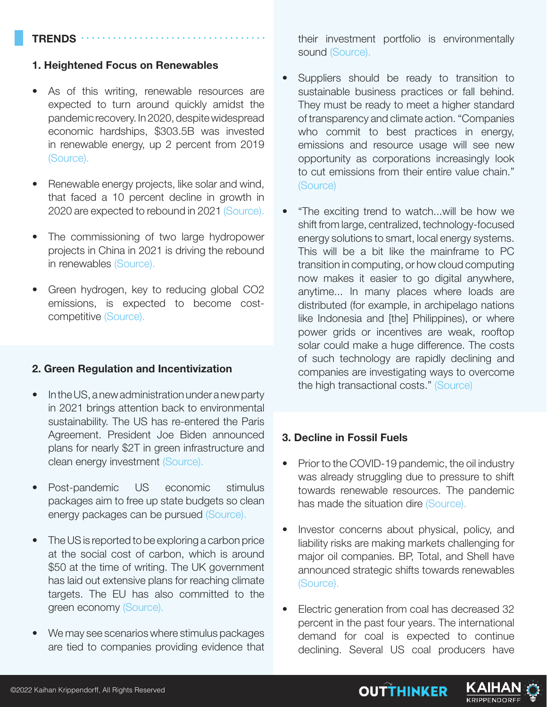#### **TRENDS**

#### **1. Heightened Focus on Renewables**

- As of this writing, renewable resources are expected to turn around quickly amidst the pandemic recovery. In 2020, despite widespread economic hardships, \$303.5B was invested in renewable energy, up 2 percent from 2019 (Source).
- Renewable energy projects, like solar and wind, that faced a 10 percent decline in growth in 2020 are expected to rebound in 2021 (Source).
- The commissioning of two large hydropower projects in China in 2021 is driving the rebound in renewables (Source).
- Green hydrogen, key to reducing global CO2 emissions, is expected to become costcompetitive (Source).

#### **2. Green Regulation and Incentivization**

- In the US, a new administration under a new party in 2021 brings attention back to environmental sustainability. The US has re-entered the Paris Agreement. President Joe Biden announced plans for nearly \$2T in green infrastructure and clean energy investment (Source).
- Post-pandemic US economic stimulus packages aim to free up state budgets so clean energy packages can be pursued (Source).
- The US is reported to be exploring a carbon price at the social cost of carbon, which is around \$50 at the time of writing. The UK government has laid out extensive plans for reaching climate targets. The EU has also committed to the green economy (Source).
- We may see scenarios where stimulus packages are tied to companies providing evidence that

their investment portfolio is environmentally sound (Source).

- Suppliers should be ready to transition to sustainable business practices or fall behind. They must be ready to meet a higher standard of transparency and climate action. "Companies who commit to best practices in energy, emissions and resource usage will see new opportunity as corporations increasingly look to cut emissions from their entire value chain." (Source)
- "The exciting trend to watch...will be how we shift from large, centralized, technology-focused energy solutions to smart, local energy systems. This will be a bit like the mainframe to PC transition in computing, or how cloud computing now makes it easier to go digital anywhere, anytime... In many places where loads are distributed (for example, in archipelago nations like Indonesia and [the] Philippines), or where power grids or incentives are weak, rooftop solar could make a huge difference. The costs of such technology are rapidly declining and companies are investigating ways to overcome the high transactional costs." (Source)

#### **3. Decline in Fossil Fuels**

- Prior to the COVID-19 pandemic, the oil industry was already struggling due to pressure to shift towards renewable resources. The pandemic has made the situation dire (Source).
- Investor concerns about physical, policy, and liability risks are making markets challenging for major oil companies. BP, Total, and Shell have announced strategic shifts towards renewables (Source).
- Electric generation from coal has decreased 32 percent in the past four years. The international demand for coal is expected to continue declining. Several US coal producers have



KAIHA **KRIPPENDORFI**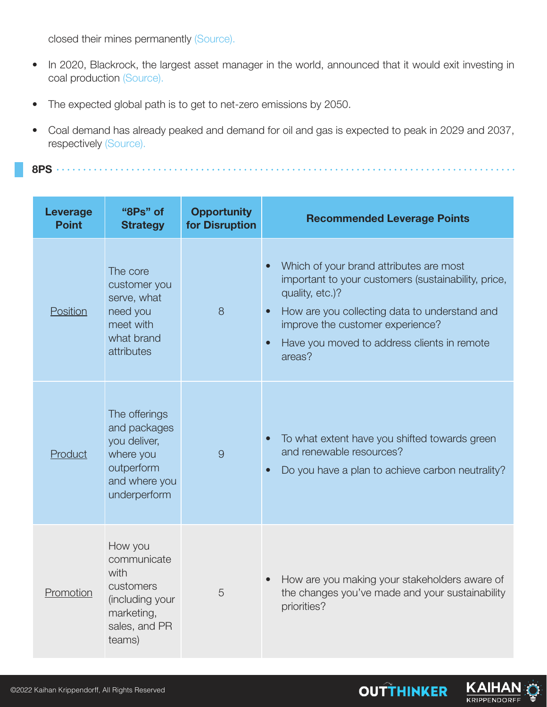closed their mines permanently (Source).

- In 2020, Blackrock, the largest asset manager in the world, announced that it would exit investing in coal production (Source).
- The expected global path is to get to net-zero emissions by 2050.
- Coal demand has already peaked and demand for oil and gas is expected to peak in 2029 and 2037, respectively (Source).

**8PS**

| <b>Leverage</b><br><b>Point</b> | "8Ps" of<br><b>Strategy</b>                                                                               | <b>Opportunity</b><br>for Disruption | <b>Recommended Leverage Points</b>                                                                                                                                                                                                                              |
|---------------------------------|-----------------------------------------------------------------------------------------------------------|--------------------------------------|-----------------------------------------------------------------------------------------------------------------------------------------------------------------------------------------------------------------------------------------------------------------|
| Position                        | The core<br>customer you<br>serve, what<br>need you<br>meet with<br>what brand<br>attributes              | 8                                    | Which of your brand attributes are most<br>important to your customers (sustainability, price,<br>quality, etc.)?<br>How are you collecting data to understand and<br>improve the customer experience?<br>Have you moved to address clients in remote<br>areas? |
| Product                         | The offerings<br>and packages<br>you deliver,<br>where you<br>outperform<br>and where you<br>underperform | 9                                    | To what extent have you shifted towards green<br>and renewable resources?<br>Do you have a plan to achieve carbon neutrality?                                                                                                                                   |
| Promotion                       | How you<br>communicate<br>with<br>customers<br>(including your<br>marketing,<br>sales, and PR<br>teams)   | 5                                    | How are you making your stakeholders aware of<br>the changes you've made and your sustainability<br>priorities?                                                                                                                                                 |

KAIH

**KRIPPENDORF** 

**OUTTHINKER**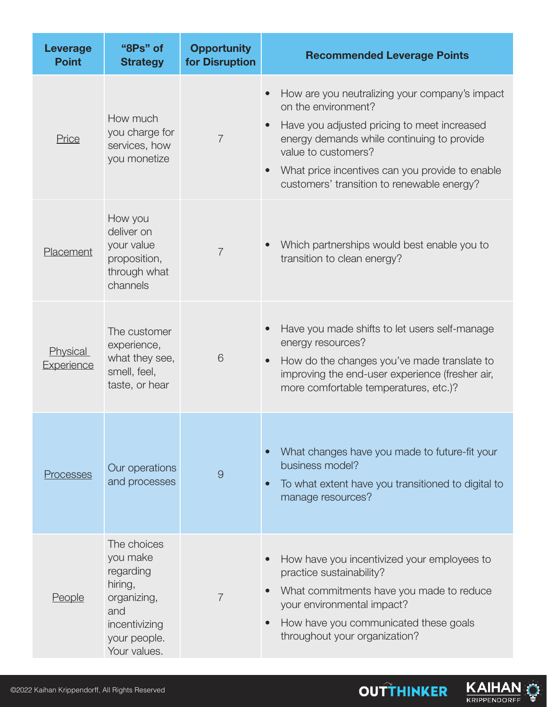| <b>Leverage</b><br><b>Point</b> | "8Ps" of<br><b>Strategy</b>                                                                                            | <b>Opportunity</b><br>for Disruption | <b>Recommended Leverage Points</b>                                                                                                                                                                                                                                                         |
|---------------------------------|------------------------------------------------------------------------------------------------------------------------|--------------------------------------|--------------------------------------------------------------------------------------------------------------------------------------------------------------------------------------------------------------------------------------------------------------------------------------------|
| Price                           | How much<br>you charge for<br>services, how<br>you monetize                                                            | $\overline{7}$                       | How are you neutralizing your company's impact<br>on the environment?<br>Have you adjusted pricing to meet increased<br>energy demands while continuing to provide<br>value to customers?<br>What price incentives can you provide to enable<br>customers' transition to renewable energy? |
| Placement                       | How you<br>deliver on<br>your value<br>proposition,<br>through what<br>channels                                        | $\overline{7}$                       | Which partnerships would best enable you to<br>transition to clean energy?                                                                                                                                                                                                                 |
| Physical<br><b>Experience</b>   | The customer<br>experience,<br>what they see,<br>smell, feel,<br>taste, or hear                                        | 6                                    | Have you made shifts to let users self-manage<br>energy resources?<br>How do the changes you've made translate to<br>$\bullet$<br>improving the end-user experience (fresher air,<br>more comfortable temperatures, etc.)?                                                                 |
| Processes                       | Our operations<br>and processes                                                                                        | $\overline{9}$                       | What changes have you made to future-fit your<br>business model?<br>To what extent have you transitioned to digital to<br>$\bullet$<br>manage resources?                                                                                                                                   |
| <b>People</b>                   | The choices<br>you make<br>regarding<br>hiring,<br>organizing,<br>and<br>incentivizing<br>your people.<br>Your values. | $\overline{7}$                       | How have you incentivized your employees to<br>practice sustainability?<br>What commitments have you made to reduce<br>your environmental impact?<br>How have you communicated these goals<br>throughout your organization?                                                                |